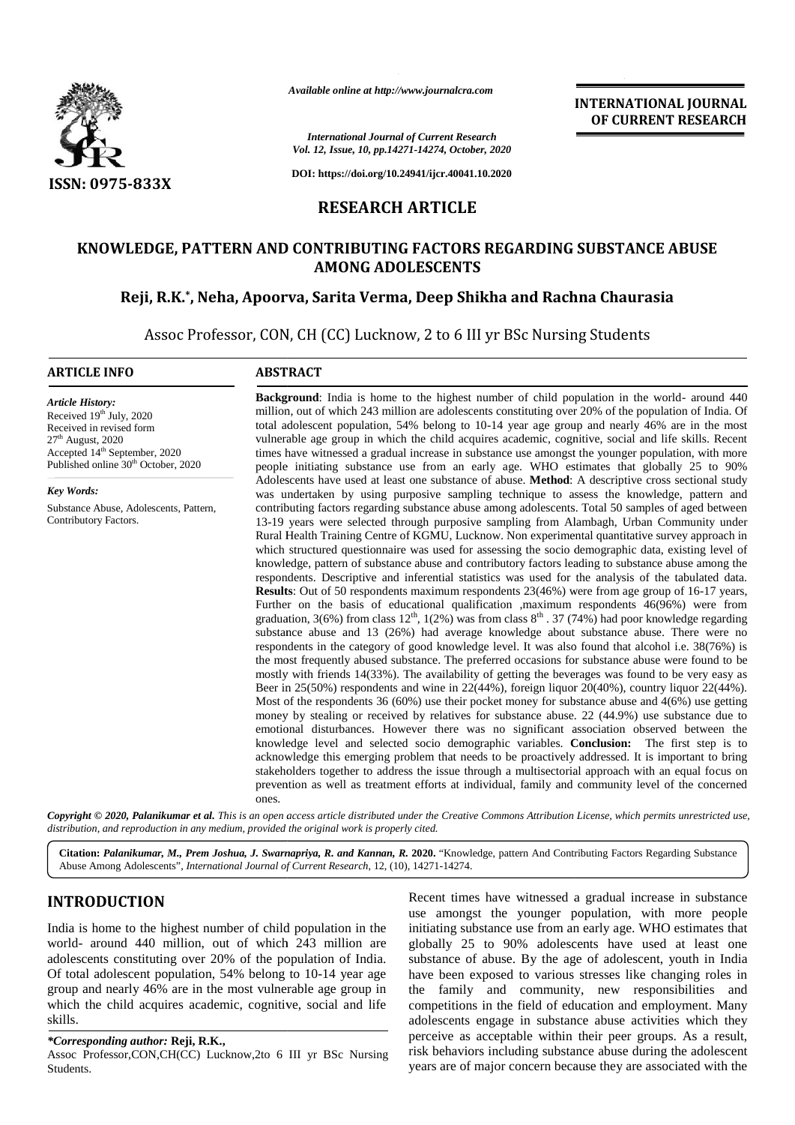

*Available online at http://www.journalcra.com*

*International Journal of Current Research Vol. 12, Issue, 10, pp.14271-14274, October, 2020*

**DOI: https://doi.org/10.24941/ijcr.40041.10.2020**

# **RESEARCH ARTICLE**

## **KNOWLEDGE, PATTERN AND CONTRIBUTING FACTORS REGARDING SUBSTANCE ABUSE SUBSTANCE ABUSEAMONG ADOLESCENTS**

## **Reji, R.K.\* , Neha, Apoorva, Sarita Verma, Deep Shikha and Rachna Chaurasia \*, Neha, Apoorva, Chaurasia**

Assoc Professor, CON, CH (CC) Lucknow, 2 to 6 III yr BSc Nursing Students

#### **ARTICLE INFO ABSTRACT ARTICLE ABSTRACT**

*Article History:* Received  $19<sup>th</sup>$  July, 2020 Received in revised form<br>27<sup>th</sup> August, 2020 27th August, 2020 Accepted 14<sup>th</sup> September, 2020 Published online 30<sup>th</sup> October, 2020

*Key Words:* Substance Abuse, Adolescents, Pattern,

Contributory Factors.

**Background**: India is home to the highest number of child population in the world- around 440 million, out of which 243 million are adolescents constituting over 20% of the population of India. Of total adolescent population, 54% belong to 10-14 year age group and nearly 46% are in the most vulnerable age group in which the child acquires academic, cognitive, social and life skills. Recent times have witnessed a gradual increase in substance use amongst the younger population, with more people initiating substance use from an early age. WHO estimates that globally 25 to 90% Adolescents have used at least one substance of abuse. **Method**: A descriptive cross sectional study was undertaken by using purposive sampling technique to assess the knowledge, pattern and contributing factors regarding substance abuse among adolescents. Total 50 samples of aged between 13-19 years were selected through purposive sampling from Alambagh, Urban Community under Rural Health Training Centre of KGMU, Lucknow. Non experimental quantitative survey approach in which structured questionnaire was used for assessing the socio demographic data, existing level of knowledge, pattern of substance abuse and contributory factors leading to substance abuse among the respondents. Descriptive and inferential statistics was used for the analysis of the tabulated data. **Results**: Out of 50 respondents maximum respondents 23(46%) were from age group of 16-17 years, Further on the basis of educational qualification ,maximum respondents 46(96%) were from graduation, 3(6%) from class  $12<sup>th</sup>$ ,  $1(2%)$  was from class  $8<sup>th</sup>$ . 37 (74%) had poor knowledge regarding substance abuse and 13 (26%) had average knowledge about substance abuse. There were no respondents in the category of good knowledge level. It was also found that alcohol i.e. 38(76%) is the most frequently abused substance. The preferred occasions for substance abuse were found to be mostly with friends 14(33%). The availability of getting the beverages was found to be very easy as Beer in 25(50%) respondents and wine in 22(44%), foreign liquor 20(40%), country liquor 22(44%). Most of the respondents 36 (60%) use their pocket money for substance abuse and 4(6%) use getting money by stealing or received by relatives for substance abuse. 22 (44.9%) use substance due to emotional disturbances. However there was no significant association observed between the knowledge level and selected socio demographic variables. **Conclusion:** The first step is to acknowledge this emerging problem that needs to be proactively addressed. It is important to bring stakeholders together to address the issue through a multisectorial approach with an equal focus on prevention as well as treatment efforts at individual, family and community level of the concerned ones. **Background:** India is home to the highest number of child population in the world- around 440 million, out of which 243 million are adolescents constituting over 20% of the population of India. Of total adolescent populat **Results**: Out of 50 respondents maximum respondents 23(46%) were from age group of 16-17 years, Further on the basis of educational qualification , maximum respondents 46(96%) were from graduation, 3(6%) from class  $12^{\$ mostly with friends 14(33%). The availability of getting the beverages was found to be very easy<br>Beer in 25(50%) respondents and wine in 22(44%), foreign liquor 20(40%), country liquor 22(44%<br>Most of the respondents 36 (60 **ENGLISHERY RESERVENT RESERVENT WEST ARTICLES<br>
STRUCTURENT WEST ARTICLES<br>
THE INTERNATIONAL STRUCTURENT RESERVENT RESERVENT RESERVENT RESERVENT RESERVENT RESERVENT RESERVENT PROFESSION CONTINENTMENT RESERVATION CONTINENTM** Available online at http://www.journalcra.com<br>
16. International of Current Research<br>
16. International of Current Research<br>
16. International of Current Research<br>
16. International of the phase of the current Research<br>
1 43 million are adolescents constituting over 20% of the population of India. Of<br>ation, 54% belong to 10-14 year age group and nearly 46% are in the most<br>in which the child acquires academic, cognitive, social and life ski to *M.,* 

**INTERNATIONAL JOURNAL OF CURRENT RESEARCH**

Copyright © 2020, Palanikumar et al. This is an open access article distributed under the Creative Commons Attribution License, which permits unrestricted use, *distribution, and reproduction in any medium, provided the original work is properly cited. distribution,any*

Citation: Palanikumar, M., Prem Joshua, J. Swarnapriya, R. and Kannan, R. 2020. "Knowledge, pattern And Contributing Factors Regarding Substance Abuse Among Adolescents", *International Journal of Current Research*, 12, (10), 14271-14274.

# **INTRODUCTION INTRODUCTION**

India is home to the highest number of child population in the world- around 440 million, out of which 243 million are adolescents constituting over 20% of the population of India. Of total adolescent population, 54% belong to 10-14 year age group and nearly 46% are in the most vulnerable age group in which the child acquires academic, cognitive, social and life skills. India is home to the highest number of child population in the world-around 440 million, out of which 243 million are adolescents constituting over 20% of the population of India. Of total adolescent population, 54% belong

#### *\*Corresponding author:* **Reji, R.K.,** *\*Corresponding*

Assoc Professor,CON,CH(CC) Lucknow,2to 6 III yr BSc Nursing Students.

Recent times have witnessed a gradual increase in substance use amongst the younger population, with more people initiating substance use from an early age. WHO estimates that globally 25 to 90% adolescents have used at least one substance of abuse. By the age of adolescent, youth in India have been exposed to various stresses like changing roles in the family and community, new responsibilities and competitions in the field of education and employment. Many adolescents engage in substance abuse activities which they perceive as acceptable within their peer groups. As a result, risk behaviors including substance abuse during the adolescent years are of major concern because they are associated with the **INTRODUCTION**<br> **Assoc Professor, CON**<br> **Assoc Professor Assoc Students.**<br> **Assoc Students.have an 26 have of a altituding substance use from an analy age. WHO estimates that<br>
world- around 440 million, out of which 243 mi**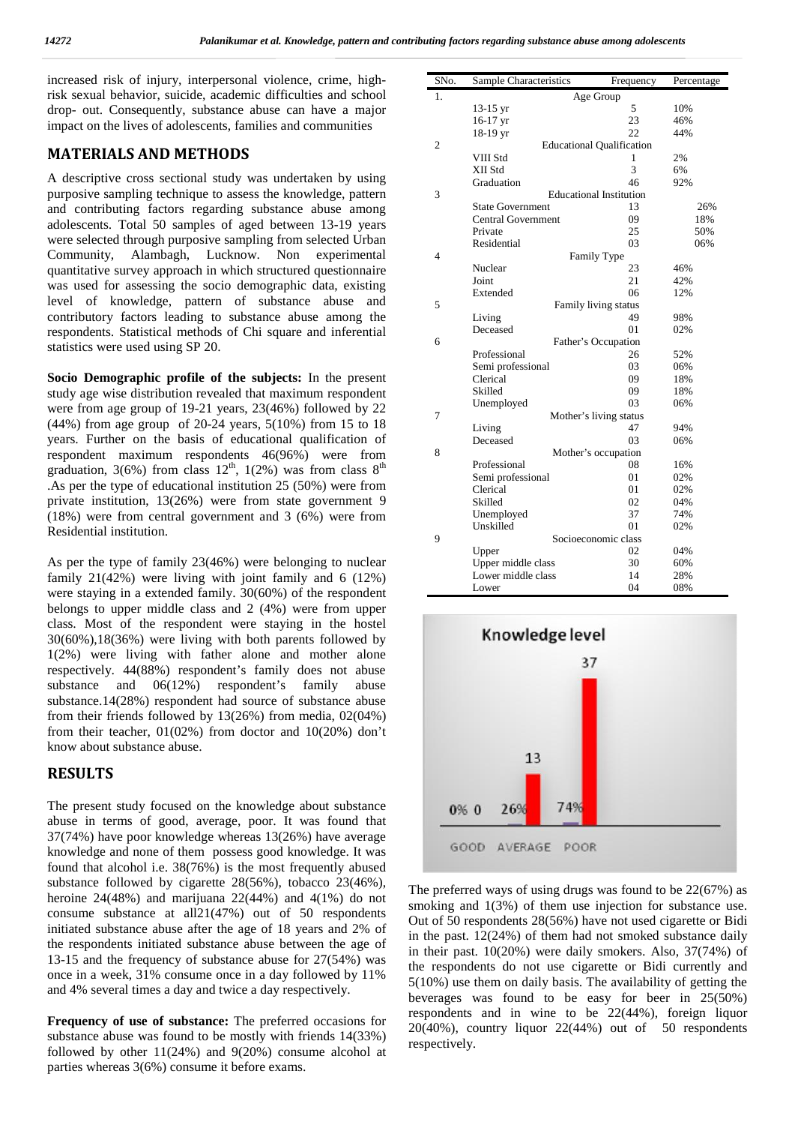increased risk of injury, interpersonal violence, crime, highrisk sexual behavior, suicide, academic difficulties and school drop- out. Consequently, substance abuse can have a major impact on the lives of adolescents, families and communities

## **MATERIALS AND METHODS**

A descriptive cross sectional study was undertaken by using purposive sampling technique to assess the knowledge, pattern and contributing factors regarding substance abuse among adolescents. Total 50 samples of aged between 13-19 years were selected through purposive sampling from selected Urban Community, Alambagh, Lucknow. Non experimental quantitative survey approach in which structured questionnaire was used for assessing the socio demographic data, existing level of knowledge, pattern of substance abuse and contributory factors leading to substance abuse among the respondents. Statistical methods of Chi square and inferential statistics were used using SP 20.

**Socio Demographic profile of the subjects:** In the present study age wise distribution revealed that maximum respondent were from age group of 19-21 years, 23(46%) followed by 22 (44%) from age group of 20-24 years, 5(10%) from 15 to 18 years. Further on the basis of educational qualification of respondent maximum respondents 46(96%) were from graduation, 3(6%) from class  $12<sup>th</sup>$ , 1(2%) was from class  $8<sup>th</sup>$ .As per the type of educational institution 25 (50%) were from private institution, 13(26%) were from state government 9 (18%) were from central government and 3 (6%) were from Residential institution.

As per the type of family 23(46%) were belonging to nuclear family 21(42%) were living with joint family and 6 (12%) were staying in a extended family. 30(60%) of the respondent belongs to upper middle class and 2 (4%) were from upper class. Most of the respondent were staying in the hostel 30(60%),18(36%) were living with both parents followed by 1(2%) were living with father alone and mother alone respectively. 44(88%) respondent's family does not abuse substance and 06(12%) respondent's family abuse substance.14(28%) respondent had source of substance abuse from their friends followed by 13(26%) from media, 02(04%) from their teacher, 01(02%) from doctor and 10(20%) don't know about substance abuse.

## **RESULTS**

The present study focused on the knowledge about substance abuse in terms of good, average, poor. It was found that 37(74%) have poor knowledge whereas 13(26%) have average knowledge and none of them possess good knowledge. It was found that alcohol i.e. 38(76%) is the most frequently abused substance followed by cigarette 28(56%), tobacco 23(46%), heroine 24(48%) and marijuana 22(44%) and 4(1%) do not consume substance at all21(47%) out of 50 respondents initiated substance abuse after the age of 18 years and 2% of the respondents initiated substance abuse between the age of 13-15 and the frequency of substance abuse for 27(54%) was once in a week, 31% consume once in a day followed by 11% and 4% several times a day and twice a day respectively.

**Frequency of use of substance:** The preferred occasions for substance abuse was found to be mostly with friends 14(33%) followed by other 11(24%) and 9(20%) consume alcohol at parties whereas 3(6%) consume it before exams.

| SNo.           | Sample Characteristics           | Frequency                      | Percentage |
|----------------|----------------------------------|--------------------------------|------------|
| 1.             |                                  | Age Group                      |            |
|                | $13-15$ yr                       | 5                              | 10%        |
|                | $16-17$ yr                       | 23                             | 46%        |
|                | 18-19 yr                         | 22                             | 44%        |
| $\mathfrak{2}$ | <b>Educational Qualification</b> |                                |            |
|                | VIII Std                         | 1                              | 2%         |
|                | XII Std                          | 3                              | 6%         |
|                | Graduation                       | 46                             | 92%        |
| 3              |                                  | <b>Educational Institution</b> |            |
|                | <b>State Government</b>          | 13                             | 26%        |
|                | <b>Central Government</b>        | 09                             | 18%        |
|                | Private                          | 25                             | 50%        |
|                | Residential                      | 03                             | 06%        |
| 4              |                                  | Family Type                    |            |
|                | Nuclear                          | 23                             | 46%        |
|                | Joint                            | 21                             | 42%        |
|                | Extended                         | 06                             | 12%        |
| 5              |                                  | Family living status           |            |
|                | Living                           | 49                             | 98%        |
|                | Deceased                         | 01                             | 02%        |
| 6              |                                  | Father's Occupation            |            |
|                | Professional                     | 26                             | 52%        |
|                | Semi professional                | 03                             | 06%        |
|                | Clerical                         | 09                             | 18%        |
|                | Skilled                          | 09                             | 18%        |
|                | Unemployed                       | 03                             | 06%        |
| 7              |                                  | Mother's living status         |            |
|                | Living                           | 47                             | 94%        |
|                | Deceased                         | 03                             | 06%        |
| 8              |                                  | Mother's occupation            |            |
|                | Professional                     | 08                             | 16%        |
|                | Semi professional                | 01                             | 02%        |
|                | Clerical                         | 01                             | 02%        |
|                | Skilled                          | 02                             | 04%        |
|                | Unemployed                       | 37                             | 74%        |
|                | Unskilled                        | 01                             | 02%        |
| 9              |                                  | Socioeconomic class            |            |
|                | Upper                            | 02                             | 04%        |
|                | Upper middle class               | 30                             | 60%        |
|                | Lower middle class               | 14                             | 28%        |
|                | Lower                            | 04                             | 08%        |



The preferred ways of using drugs was found to be 22(67%) as smoking and  $1(3\%)$  of them use injection for substance use. Out of 50 respondents 28(56%) have not used cigarette or Bidi in the past. 12(24%) of them had not smoked substance daily in their past. 10(20%) were daily smokers. Also, 37(74%) of the respondents do not use cigarette or Bidi currently and 5(10%) use them on daily basis. The availability of getting the beverages was found to be easy for beer in 25(50%) respondents and in wine to be 22(44%), foreign liquor 20(40%), country liquor 22(44%) out of 50 respondents respectively.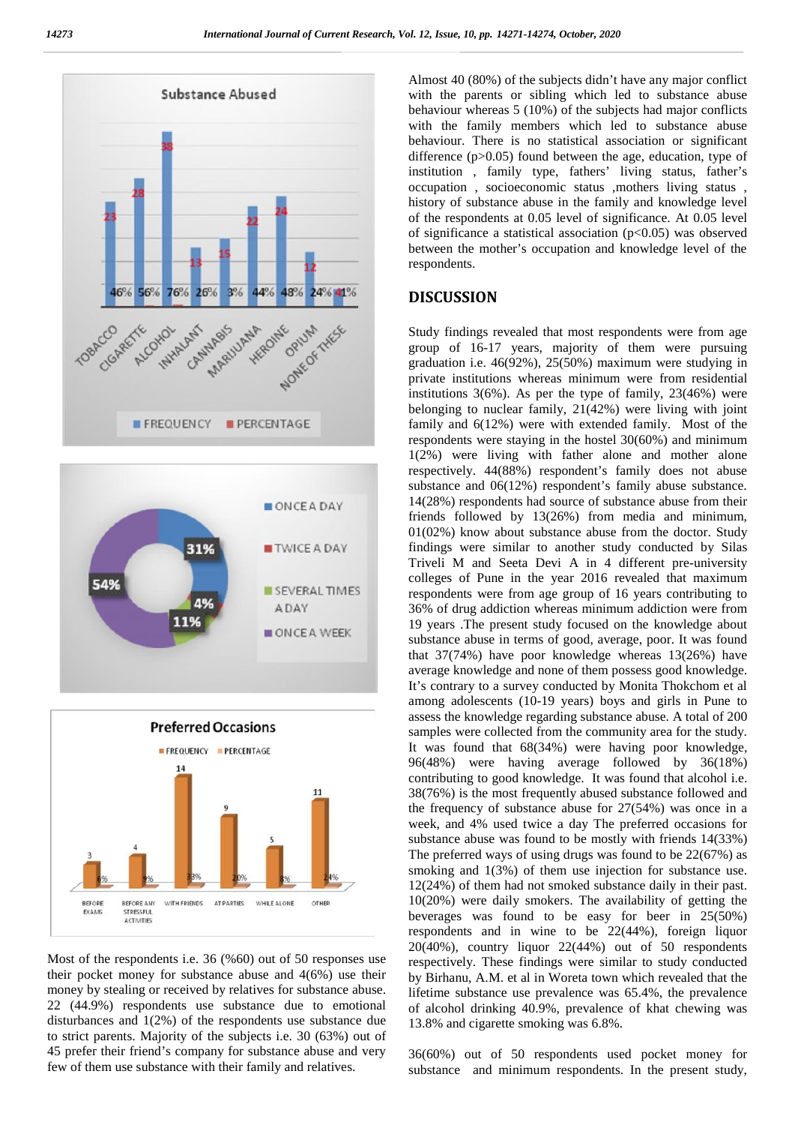





Most of the respondents i.e. 36 (%60) out of 50 responses use their pocket money for substance abuse and 4(6%) use their money by stealing or received by relatives for substance abuse. 22 (44.9%) respondents use substance due to emotional disturbances and 1(2%) of the respondents use substance due to strict parents. Majority of the subjects i.e. 30 (63%) out of 45 prefer their friend's company for substance abuse and very few of them use substance with their family and relatives.

Almost 40 (80%) of the subjects didn't have any major conflict with the parents or sibling which led to substance abuse behaviour whereas 5 (10%) of the subjects had major conflicts with the family members which led to substance abuse behaviour. There is no statistical association or significant difference (p>0.05) found between the age, education, type of institution , family type, fathers' living status, father's occupation , socioeconomic status ,mothers living status , history of substance abuse in the family and knowledge level of the respondents at 0.05 level of significance. At 0.05 level of significance a statistical association  $(p<0.05)$  was observed between the mother's occupation and knowledge level of the respondents.

## **DISCUSSION**

Study findings revealed that most respondents were from age group of 16-17 years, majority of them were pursuing graduation i.e. 46(92%), 25(50%) maximum were studying in private institutions whereas minimum were from residential institutions  $3(6\%)$ . As per the type of family,  $23(46\%)$  were belonging to nuclear family, 21(42%) were living with joint family and 6(12%) were with extended family. Most of the respondents were staying in the hostel 30(60%) and minimum 1(2%) were living with father alone and mother alone respectively. 44(88%) respondent's family does not abuse substance and 06(12%) respondent's family abuse substance. 14(28%) respondents had source of substance abuse from their friends followed by 13(26%) from media and minimum, 01(02%) know about substance abuse from the doctor. Study findings were similar to another study conducted by Silas Triveli M and Seeta Devi A in 4 different pre-university colleges of Pune in the year 2016 revealed that maximum respondents were from age group of 16 years contributing to 36% of drug addiction whereas minimum addiction were from 19 years .The present study focused on the knowledge about substance abuse in terms of good, average, poor. It was found that 37(74%) have poor knowledge whereas 13(26%) have average knowledge and none of them possess good knowledge. It's contrary to a survey conducted by Monita Thokchom et al among adolescents (10-19 years) boys and girls in Pune to assess the knowledge regarding substance abuse. A total of 200 samples were collected from the community area for the study. It was found that 68(34%) were having poor knowledge, 96(48%) were having average followed by 36(18%) contributing to good knowledge. It was found that alcohol i.e. 38(76%) is the most frequently abused substance followed and the frequency of substance abuse for 27(54%) was once in a week, and 4% used twice a day The preferred occasions for substance abuse was found to be mostly with friends 14(33%) The preferred ways of using drugs was found to be 22(67%) as smoking and  $1(3%)$  of them use injection for substance use. 12(24%) of them had not smoked substance daily in their past. 10(20%) were daily smokers. The availability of getting the beverages was found to be easy for beer in 25(50%) respondents and in wine to be 22(44%), foreign liquor 20(40%), country liquor 22(44%) out of 50 respondents respectively. These findings were similar to study conducted by Birhanu, A.M. et al in Woreta town which revealed that the lifetime substance use prevalence was 65.4%, the prevalence of alcohol drinking 40.9%, prevalence of khat chewing was 13.8% and cigarette smoking was 6.8%.

36(60%) out of 50 respondents used pocket money for substance and minimum respondents. In the present study,